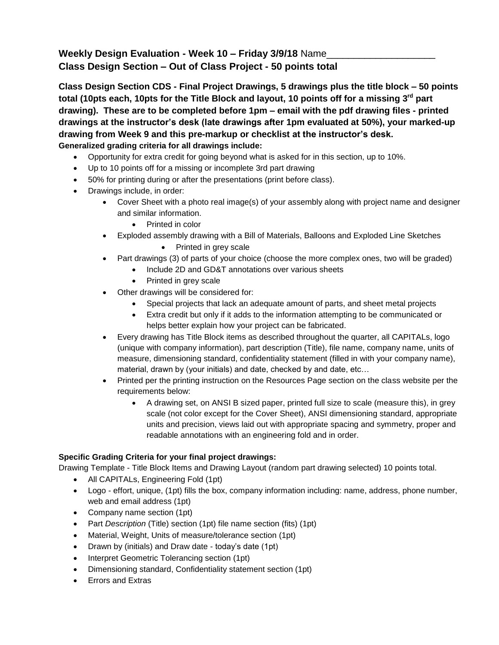## **Weekly Design Evaluation - Week 10 – Friday 3/9/18** Name\_\_\_\_\_\_\_\_\_\_\_\_\_\_\_\_\_\_\_\_ **Class Design Section – Out of Class Project - 50 points total**

**Class Design Section CDS - Final Project Drawings, 5 drawings plus the title block – 50 points total (10pts each, 10pts for the Title Block and layout, 10 points off for a missing 3rd part drawing). These are to be completed before 1pm – email with the pdf drawing files - printed drawings at the instructor's desk (late drawings after 1pm evaluated at 50%), your marked-up drawing from Week 9 and this pre-markup or checklist at the instructor's desk. Generalized grading criteria for all drawings include:**

- Opportunity for extra credit for going beyond what is asked for in this section, up to 10%.
- Up to 10 points off for a missing or incomplete 3rd part drawing
- 50% for printing during or after the presentations (print before class).
- Drawings include, in order:
	- Cover Sheet with a photo real image(s) of your assembly along with project name and designer and similar information.
		- Printed in color
	- Exploded assembly drawing with a Bill of Materials, Balloons and Exploded Line Sketches
		- Printed in grey scale
	- Part drawings (3) of parts of your choice (choose the more complex ones, two will be graded)
		- Include 2D and GD&T annotations over various sheets
		- Printed in grey scale
	- Other drawings will be considered for:
		- Special projects that lack an adequate amount of parts, and sheet metal projects
		- Extra credit but only if it adds to the information attempting to be communicated or helps better explain how your project can be fabricated.
	- Every drawing has Title Block items as described throughout the quarter, all CAPITALs, logo (unique with company information), part description (Title), file name, company name, units of measure, dimensioning standard, confidentiality statement (filled in with your company name), material, drawn by (your initials) and date, checked by and date, etc…
	- Printed per the printing instruction on the Resources Page section on the class website per the requirements below:
		- A drawing set, on ANSI B sized paper, printed full size to scale (measure this), in grey scale (not color except for the Cover Sheet), ANSI dimensioning standard, appropriate units and precision, views laid out with appropriate spacing and symmetry, proper and readable annotations with an engineering fold and in order.

## **Specific Grading Criteria for your final project drawings:**

Drawing Template - Title Block Items and Drawing Layout (random part drawing selected) 10 points total.

- All CAPITALs, Engineering Fold (1pt)
- Logo effort, unique, (1pt) fills the box, company information including: name, address, phone number, web and email address (1pt)
- Company name section (1pt)
- Part *Description* (Title) section (1pt) file name section (fits) (1pt)
- Material, Weight, Units of measure/tolerance section (1pt)
- Drawn by (initials) and Draw date today's date (1pt)
- Interpret Geometric Tolerancing section (1pt)
- Dimensioning standard, Confidentiality statement section (1pt)
- Errors and Extras